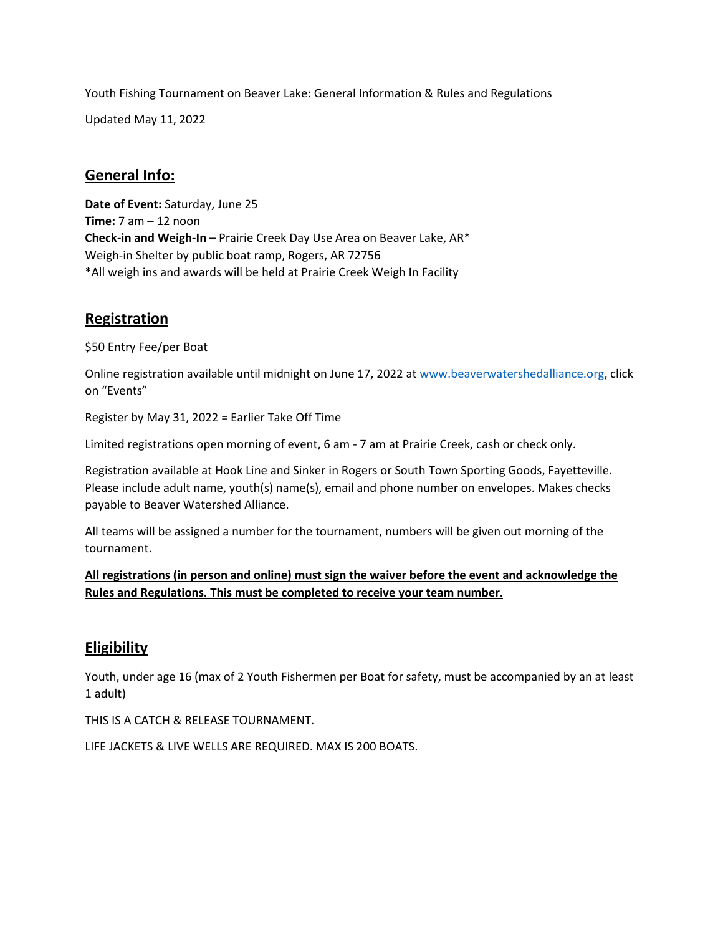Youth Fishing Tournament on Beaver Lake: General Information & Rules and Regulations

Updated May 11, 2022

## **General Info:**

**Date of Event:** Saturday, June 25 **Time:** 7 am – 12 noon **Check-in and Weigh-In** – Prairie Creek Day Use Area on Beaver Lake, AR\* Weigh-in Shelter by public boat ramp, Rogers, AR 72756 \*All weigh ins and awards will be held at Prairie Creek Weigh In Facility

## **Registration**

\$50 Entry Fee/per Boat

Online registration available until midnight on June 17, 2022 a[t www.beaverwatershedalliance.org,](http://www.beaverwatershedalliance.org/) click on "Events"

Register by May 31, 2022 = Earlier Take Off Time

Limited registrations open morning of event, 6 am - 7 am at Prairie Creek, cash or check only.

Registration available at Hook Line and Sinker in Rogers or South Town Sporting Goods, Fayetteville. Please include adult name, youth(s) name(s), email and phone number on envelopes. Makes checks payable to Beaver Watershed Alliance.

All teams will be assigned a number for the tournament, numbers will be given out morning of the tournament.

**All registrations (in person and online) must sign the waiver before the event and acknowledge the Rules and Regulations. This must be completed to receive your team number.**

# **Eligibility**

Youth, under age 16 (max of 2 Youth Fishermen per Boat for safety, must be accompanied by an at least 1 adult)

THIS IS A CATCH & RELEASE TOURNAMENT.

LIFE JACKETS & LIVE WELLS ARE REQUIRED. MAX IS 200 BOATS.